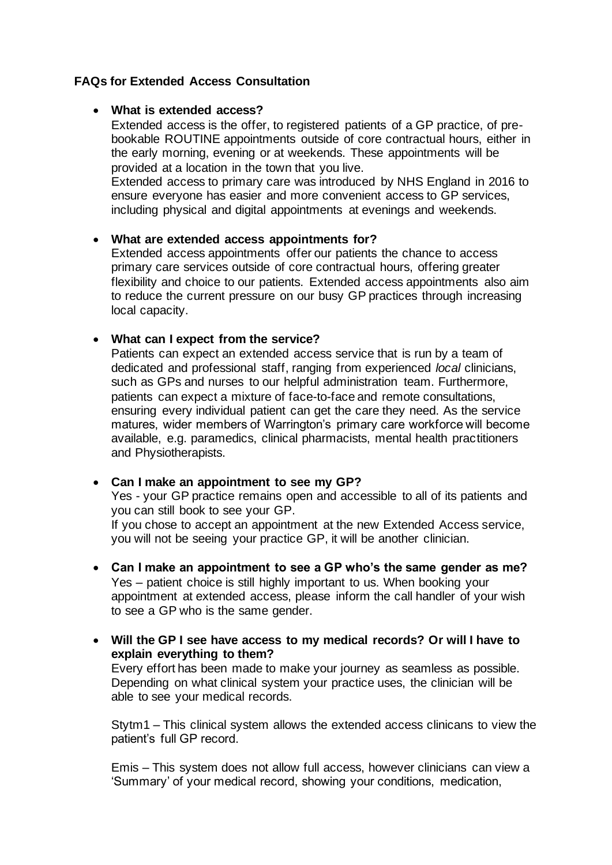## **FAQs for Extended Access Consultation**

### • **What is extended access?**

Extended access is the offer, to registered patients of a GP practice, of prebookable ROUTINE appointments outside of core contractual hours, either in the early morning, evening or at weekends. These appointments will be provided at a location in the town that you live.

Extended access to primary care was introduced by NHS England in 2016 to ensure everyone has easier and more convenient access to GP services, including physical and digital appointments at evenings and weekends.

#### • **What are extended access appointments for?**

Extended access appointments offer our patients the chance to access primary care services outside of core contractual hours, offering greater flexibility and choice to our patients. Extended access appointments also aim to reduce the current pressure on our busy GP practices through increasing local capacity.

#### • **What can I expect from the service?**

Patients can expect an extended access service that is run by a team of dedicated and professional staff, ranging from experienced *local* clinicians, such as GPs and nurses to our helpful administration team. Furthermore, patients can expect a mixture of face-to-face and remote consultations, ensuring every individual patient can get the care they need. As the service matures, wider members of Warrington's primary care workforce will become available, e.g. paramedics, clinical pharmacists, mental health practitioners and Physiotherapists.

## • **Can I make an appointment to see my GP?**

Yes - your GP practice remains open and accessible to all of its patients and you can still book to see your GP.

If you chose to accept an appointment at the new Extended Access service, you will not be seeing your practice GP, it will be another clinician.

- **Can I make an appointment to see a GP who's the same gender as me?**  Yes – patient choice is still highly important to us. When booking your appointment at extended access, please inform the call handler of your wish to see a GP who is the same gender.
- **Will the GP I see have access to my medical records? Or will I have to explain everything to them?**

Every effort has been made to make your journey as seamless as possible. Depending on what clinical system your practice uses, the clinician will be able to see your medical records.

Stytm1 – This clinical system allows the extended access clinicans to view the patient's full GP record.

Emis – This system does not allow full access, however clinicians can view a 'Summary' of your medical record, showing your conditions, medication,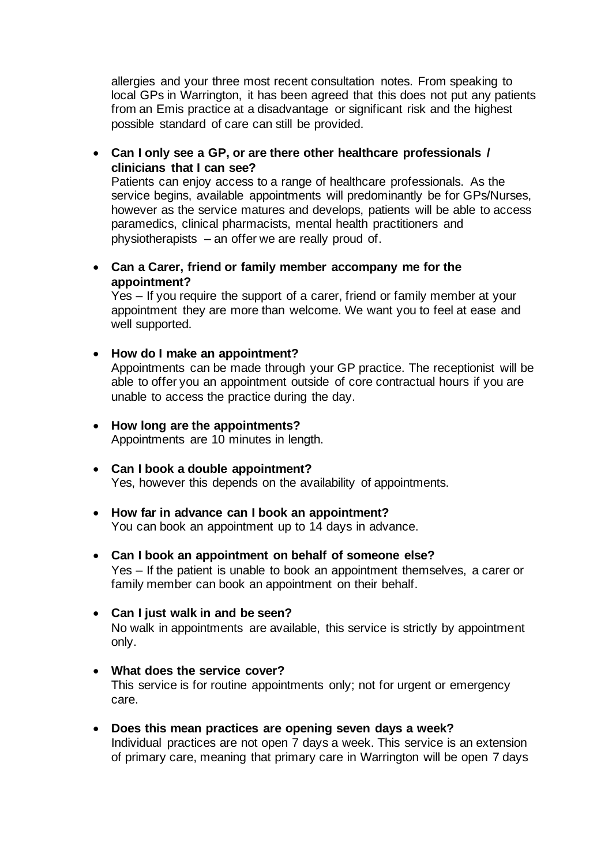allergies and your three most recent consultation notes. From speaking to local GPs in Warrington, it has been agreed that this does not put any patients from an Emis practice at a disadvantage or significant risk and the highest possible standard of care can still be provided.

• **Can I only see a GP, or are there other healthcare professionals / clinicians that I can see?**

Patients can enjoy access to a range of healthcare professionals. As the service begins, available appointments will predominantly be for GPs/Nurses, however as the service matures and develops, patients will be able to access paramedics, clinical pharmacists, mental health practitioners and physiotherapists – an offer we are really proud of.

• **Can a Carer, friend or family member accompany me for the appointment?** 

Yes – If you require the support of a carer, friend or family member at your appointment they are more than welcome. We want you to feel at ease and well supported.

• **How do I make an appointment?**

Appointments can be made through your GP practice. The receptionist will be able to offer you an appointment outside of core contractual hours if you are unable to access the practice during the day.

- **How long are the appointments?** Appointments are 10 minutes in length.
- **Can I book a double appointment?** Yes, however this depends on the availability of appointments.
- **How far in advance can I book an appointment?** You can book an appointment up to 14 days in advance.
- **Can I book an appointment on behalf of someone else?** Yes – If the patient is unable to book an appointment themselves, a carer or family member can book an appointment on their behalf.
- **Can I just walk in and be seen?** No walk in appointments are available, this service is strictly by appointment only.
- **What does the service cover?** This service is for routine appointments only; not for urgent or emergency care.
- **Does this mean practices are opening seven days a week?** Individual practices are not open 7 days a week. This service is an extension of primary care, meaning that primary care in Warrington will be open 7 days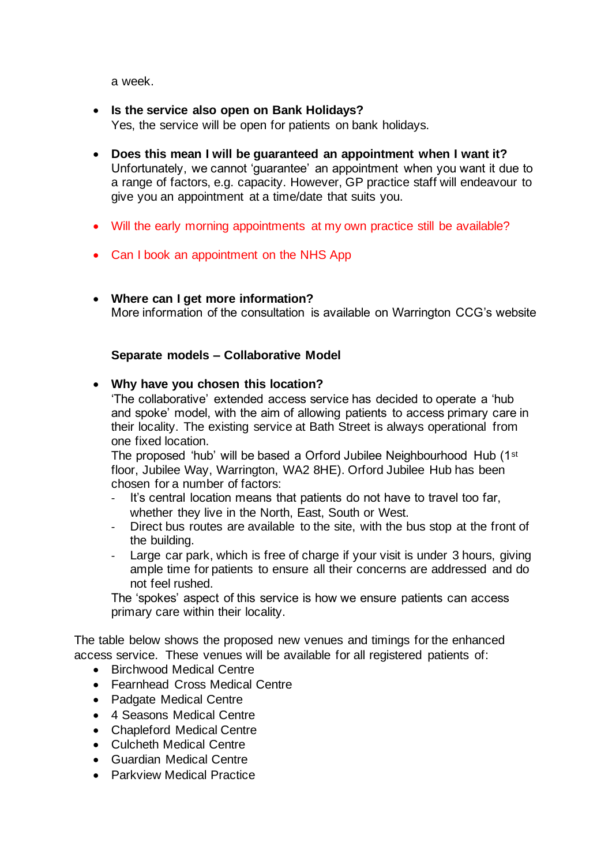a week.

- **Is the service also open on Bank Holidays?** Yes, the service will be open for patients on bank holidays.
- **Does this mean I will be guaranteed an appointment when I want it?** Unfortunately, we cannot 'guarantee' an appointment when you want it due to a range of factors, e.g. capacity. However, GP practice staff will endeavour to give you an appointment at a time/date that suits you.
- Will the early morning appointments at my own practice still be available?
- Can I book an appointment on the NHS App
- **Where can I get more information?** More information of the consultation is available on Warrington CCG's website

# **Separate models – Collaborative Model**

## • **Why have you chosen this location?**

'The collaborative' extended access service has decided to operate a 'hub and spoke' model, with the aim of allowing patients to access primary care in their locality. The existing service at Bath Street is always operational from one fixed location.

The proposed 'hub' will be based a Orford Jubilee Neighbourhood Hub (1st floor, Jubilee Way, Warrington, WA2 8HE). Orford Jubilee Hub has been chosen for a number of factors:

- It's central location means that patients do not have to travel too far, whether they live in the North, East, South or West.
- Direct bus routes are available to the site, with the bus stop at the front of the building.
- Large car park, which is free of charge if your visit is under 3 hours, giving ample time for patients to ensure all their concerns are addressed and do not feel rushed.

The 'spokes' aspect of this service is how we ensure patients can access primary care within their locality.

The table below shows the proposed new venues and timings for the enhanced access service. These venues will be available for all registered patients of:

- Birchwood Medical Centre
- Fearnhead Cross Medical Centre
- Padgate Medical Centre
- 4 Seasons Medical Centre
- Chapleford Medical Centre
- Culcheth Medical Centre
- Guardian Medical Centre
- Parkview Medical Practice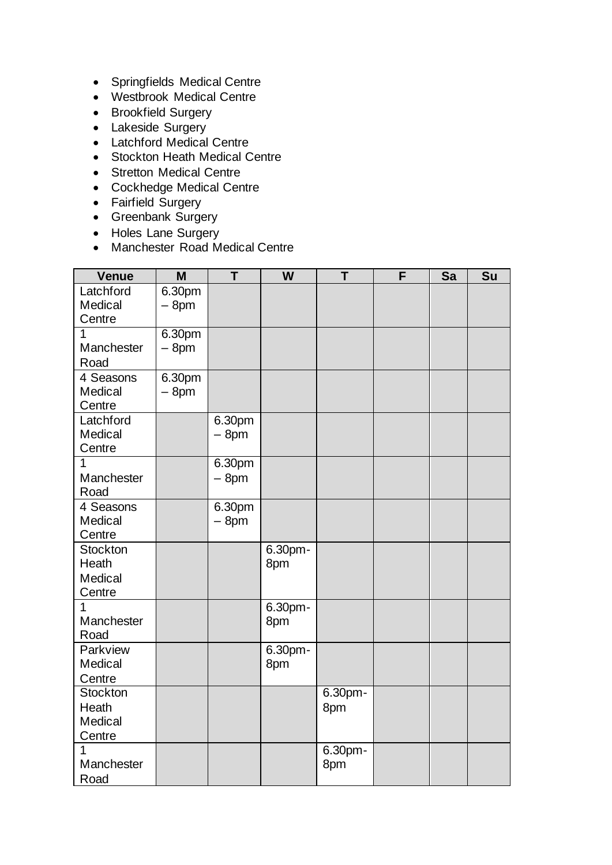- Springfields Medical Centre
- Westbrook Medical Centre
- Brookfield Surgery
- Lakeside Surgery
- Latchford Medical Centre
- Stockton Heath Medical Centre
- Stretton Medical Centre
- Cockhedge Medical Centre
- Fairfield Surgery
- Greenbank Surgery
- Holes Lane Surgery
- Manchester Road Medical Centre

| <b>Venue</b>         | M                | T      | W       | T       | F | Sa | Su |
|----------------------|------------------|--------|---------|---------|---|----|----|
| Latchford<br>Medical | 6.30pm<br>$-8pm$ |        |         |         |   |    |    |
| Centre               |                  |        |         |         |   |    |    |
| 1                    | 6.30pm           |        |         |         |   |    |    |
| Manchester<br>Road   | $-8pm$           |        |         |         |   |    |    |
| 4 Seasons            | 6.30pm           |        |         |         |   |    |    |
| Medical              | $-8pm$           |        |         |         |   |    |    |
| Centre               |                  |        |         |         |   |    |    |
| Latchford            |                  | 6.30pm |         |         |   |    |    |
| Medical              |                  | $-8pm$ |         |         |   |    |    |
| Centre               |                  |        |         |         |   |    |    |
| 1                    |                  | 6.30pm |         |         |   |    |    |
| Manchester<br>Road   |                  | $-8pm$ |         |         |   |    |    |
| 4 Seasons            |                  | 6.30pm |         |         |   |    |    |
| Medical              |                  | $-8pm$ |         |         |   |    |    |
| Centre               |                  |        |         |         |   |    |    |
| <b>Stockton</b>      |                  |        | 6.30pm- |         |   |    |    |
| Heath                |                  |        | 8pm     |         |   |    |    |
| Medical              |                  |        |         |         |   |    |    |
| Centre               |                  |        |         |         |   |    |    |
| 1                    |                  |        | 6.30pm- |         |   |    |    |
| Manchester           |                  |        | 8pm     |         |   |    |    |
| Road                 |                  |        |         |         |   |    |    |
| Parkview             |                  |        | 6.30pm- |         |   |    |    |
| Medical              |                  |        | 8pm     |         |   |    |    |
| Centre               |                  |        |         |         |   |    |    |
| Stockton             |                  |        |         | 6.30pm- |   |    |    |
| Heath                |                  |        |         | 8pm     |   |    |    |
| Medical<br>Centre    |                  |        |         |         |   |    |    |
| 1                    |                  |        |         | 6.30pm- |   |    |    |
| Manchester           |                  |        |         | 8pm     |   |    |    |
| Road                 |                  |        |         |         |   |    |    |